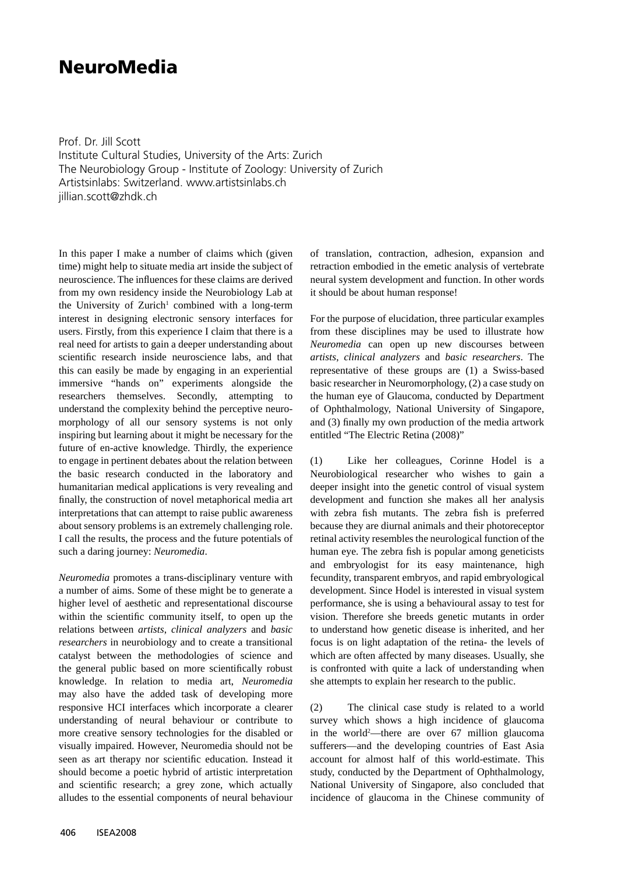## **NeuroMedia**

Prof. Dr. Jill Scott Institute Cultural Studies, University of the Arts: Zurich The Neurobiology Group - Institute of Zoology: University of Zurich Artistsinlabs: Switzerland. www.artistsinlabs.ch jillian.scott@zhdk.ch

In this paper I make a number of claims which (given time) might help to situate media art inside the subject of neuroscience. The influences for these claims are derived from my own residency inside the Neurobiology Lab at the University of  $Zurich<sup>1</sup>$  combined with a long-term interest in designing electronic sensory interfaces for users. Firstly, from this experience I claim that there is a real need for artists to gain a deeper understanding about scientific research inside neuroscience labs, and that this can easily be made by engaging in an experiential immersive "hands on" experiments alongside the researchers themselves. Secondly, attempting to understand the complexity behind the perceptive neuromorphology of all our sensory systems is not only inspiring but learning about it might be necessary for the future of en-active knowledge. Thirdly, the experience to engage in pertinent debates about the relation between the basic research conducted in the laboratory and humanitarian medical applications is very revealing and finally, the construction of novel metaphorical media art interpretations that can attempt to raise public awareness about sensory problems is an extremely challenging role. I call the results, the process and the future potentials of such a daring journey: *Neuromedia*.

*Neuromedia* promotes a trans-disciplinary venture with a number of aims. Some of these might be to generate a higher level of aesthetic and representational discourse within the scientific community itself, to open up the relations between *artists*, *clinical analyzers* and *basic researchers* in neurobiology and to create a transitional catalyst between the methodologies of science and the general public based on more scientifically robust knowledge. In relation to media art, *Neuromedia* may also have the added task of developing more responsive HCI interfaces which incorporate a clearer understanding of neural behaviour or contribute to more creative sensory technologies for the disabled or visually impaired. However, Neuromedia should not be seen as art therapy nor scientific education. Instead it should become a poetic hybrid of artistic interpretation and scientific research; a grey zone, which actually alludes to the essential components of neural behaviour

of translation, contraction, adhesion, expansion and retraction embodied in the emetic analysis of vertebrate neural system development and function. In other words it should be about human response!

For the purpose of elucidation, three particular examples from these disciplines may be used to illustrate how *Neuromedia* can open up new discourses between *artists*, *clinical analyzers* and *basic researchers*. The representative of these groups are (1) a Swiss-based basic researcher in Neuromorphology, (2) a case study on the human eye of Glaucoma, conducted by Department of Ophthalmology, National University of Singapore, and (3) finally my own production of the media artwork entitled "The Electric Retina (2008)"

(1) Like her colleagues, Corinne Hodel is a Neurobiological researcher who wishes to gain a deeper insight into the genetic control of visual system development and function she makes all her analysis with zebra fish mutants. The zebra fish is preferred because they are diurnal animals and their photoreceptor retinal activity resembles the neurological function of the human eye. The zebra fish is popular among geneticists and embryologist for its easy maintenance, high fecundity, transparent embryos, and rapid embryological development. Since Hodel is interested in visual system performance, she is using a behavioural assay to test for vision. Therefore she breeds genetic mutants in order to understand how genetic disease is inherited, and her focus is on light adaptation of the retina- the levels of which are often affected by many diseases. Usually, she is confronted with quite a lack of understanding when she attempts to explain her research to the public.

(2) The clinical case study is related to a world survey which shows a high incidence of glaucoma in the world2 —there are over 67 million glaucoma sufferers—and the developing countries of East Asia account for almost half of this world-estimate. This study, conducted by the Department of Ophthalmology, National University of Singapore, also concluded that incidence of glaucoma in the Chinese community of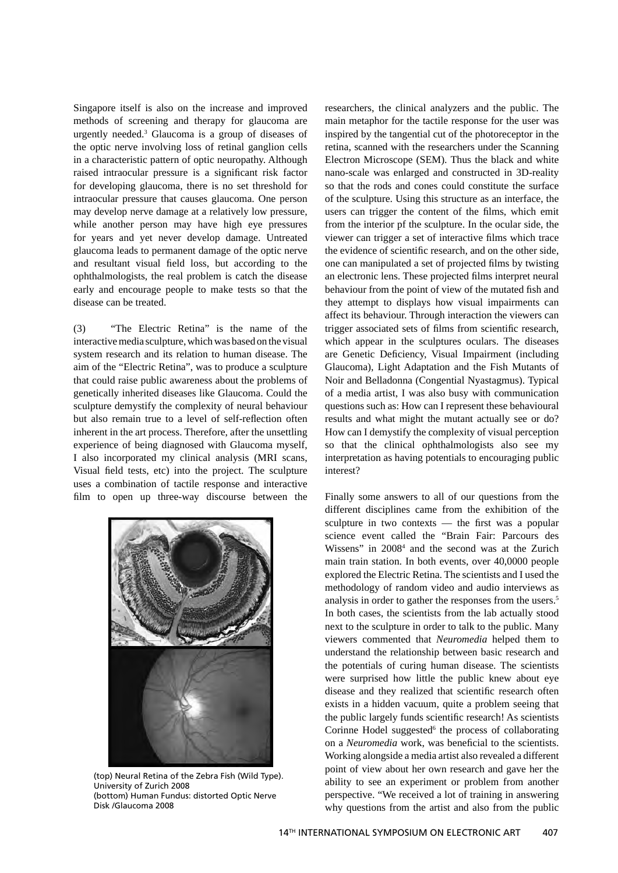Singapore itself is also on the increase and improved methods of screening and therapy for glaucoma are urgently needed.3 Glaucoma is a group of diseases of the optic nerve involving loss of retinal ganglion cells in a characteristic pattern of optic neuropathy. Although raised intraocular pressure is a significant risk factor for developing glaucoma, there is no set threshold for intraocular pressure that causes glaucoma. One person may develop nerve damage at a relatively low pressure, while another person may have high eye pressures for years and yet never develop damage. Untreated glaucoma leads to permanent damage of the optic nerve and resultant visual field loss, but according to the ophthalmologists, the real problem is catch the disease early and encourage people to make tests so that the disease can be treated.

(3) "The Electric Retina" is the name of the interactive media sculpture, which was based on the visual system research and its relation to human disease. The aim of the "Electric Retina", was to produce a sculpture that could raise public awareness about the problems of genetically inherited diseases like Glaucoma. Could the sculpture demystify the complexity of neural behaviour but also remain true to a level of self-reflection often inherent in the art process. Therefore, after the unsettling experience of being diagnosed with Glaucoma myself, I also incorporated my clinical analysis (MRI scans, Visual field tests, etc) into the project. The sculpture uses a combination of tactile response and interactive film to open up three-way discourse between the



(top) Neural Retina of the Zebra Fish (Wild Type). University of Zurich 2008 (bottom) Human Fundus: distorted Optic Nerve Disk /Glaucoma 2008

researchers, the clinical analyzers and the public. The main metaphor for the tactile response for the user was inspired by the tangential cut of the photoreceptor in the retina, scanned with the researchers under the Scanning Electron Microscope (SEM). Thus the black and white nano-scale was enlarged and constructed in 3D-reality so that the rods and cones could constitute the surface of the sculpture. Using this structure as an interface, the users can trigger the content of the films, which emit from the interior pf the sculpture. In the ocular side, the viewer can trigger a set of interactive films which trace the evidence of scientific research, and on the other side, one can manipulated a set of projected films by twisting an electronic lens. These projected films interpret neural behaviour from the point of view of the mutated fish and they attempt to displays how visual impairments can affect its behaviour. Through interaction the viewers can trigger associated sets of films from scientific research, which appear in the sculptures oculars. The diseases are Genetic Deficiency, Visual Impairment (including Glaucoma), Light Adaptation and the Fish Mutants of Noir and Belladonna (Congential Nyastagmus). Typical of a media artist, I was also busy with communication questions such as: How can I represent these behavioural results and what might the mutant actually see or do? How can I demystify the complexity of visual perception so that the clinical ophthalmologists also see my interpretation as having potentials to encouraging public interest?

Finally some answers to all of our questions from the different disciplines came from the exhibition of the sculpture in two contexts  $-$  the first was a popular science event called the "Brain Fair: Parcours des Wissens" in 20084 and the second was at the Zurich main train station. In both events, over 40,0000 people explored the Electric Retina. The scientists and I used the methodology of random video and audio interviews as analysis in order to gather the responses from the users.5 In both cases, the scientists from the lab actually stood next to the sculpture in order to talk to the public. Many viewers commented that *Neuromedia* helped them to understand the relationship between basic research and the potentials of curing human disease. The scientists were surprised how little the public knew about eye disease and they realized that scientific research often exists in a hidden vacuum, quite a problem seeing that the public largely funds scientific research! As scientists Corinne Hodel suggested<sup>6</sup> the process of collaborating on a *Neuromedia* work, was beneficial to the scientists. Working alongside a media artist also revealed a different point of view about her own research and gave her the ability to see an experiment or problem from another perspective. "We received a lot of training in answering why questions from the artist and also from the public